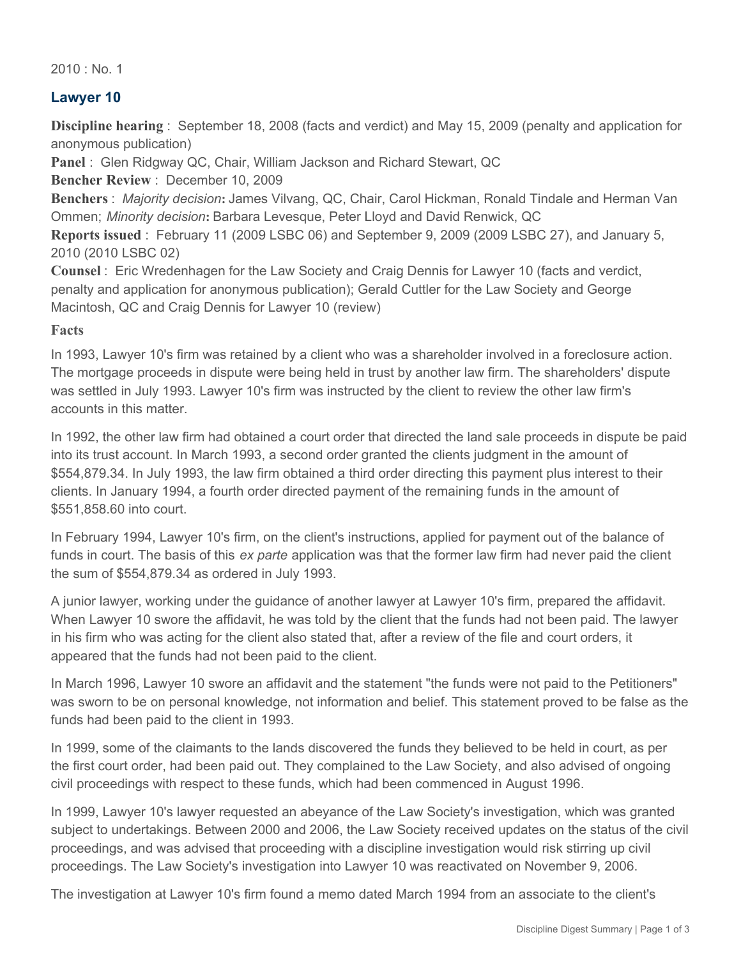$2010 \cdot$  No. 1

# **Lawyer 10**

**Discipline hearing** : September 18, 2008 (facts and verdict) and May 15, 2009 (penalty and application for anonymous publication)

**Panel** : Glen Ridgway QC, Chair, William Jackson and Richard Stewart, QC

**Bencher Review** : December 10, 2009

**Benchers** : *Majority decision***:** James Vilvang, QC, Chair, Carol Hickman, Ronald Tindale and Herman Van Ommen; *Minority decision***:** Barbara Levesque, Peter Lloyd and David Renwick, QC

**Reports issued** : February 11 (2009 LSBC 06) and September 9, 2009 (2009 LSBC 27), and January 5, 2010 (2010 LSBC 02)

**Counsel** : Eric Wredenhagen for the Law Society and Craig Dennis for Lawyer 10 (facts and verdict, penalty and application for anonymous publication); Gerald Cuttler for the Law Society and George Macintosh, QC and Craig Dennis for Lawyer 10 (review)

#### **Facts**

In 1993, Lawyer 10's firm was retained by a client who was a shareholder involved in a foreclosure action. The mortgage proceeds in dispute were being held in trust by another law firm. The shareholders' dispute was settled in July 1993. Lawyer 10's firm was instructed by the client to review the other law firm's accounts in this matter.

In 1992, the other law firm had obtained a court order that directed the land sale proceeds in dispute be paid into its trust account. In March 1993, a second order granted the clients judgment in the amount of \$554,879.34. In July 1993, the law firm obtained a third order directing this payment plus interest to their clients. In January 1994, a fourth order directed payment of the remaining funds in the amount of \$551,858.60 into court.

In February 1994, Lawyer 10's firm, on the client's instructions, applied for payment out of the balance of funds in court. The basis of this *ex parte* application was that the former law firm had never paid the client the sum of \$554,879.34 as ordered in July 1993.

A junior lawyer, working under the guidance of another lawyer at Lawyer 10's firm, prepared the affidavit. When Lawyer 10 swore the affidavit, he was told by the client that the funds had not been paid. The lawyer in his firm who was acting for the client also stated that, after a review of the file and court orders, it appeared that the funds had not been paid to the client.

In March 1996, Lawyer 10 swore an affidavit and the statement "the funds were not paid to the Petitioners" was sworn to be on personal knowledge, not information and belief. This statement proved to be false as the funds had been paid to the client in 1993.

In 1999, some of the claimants to the lands discovered the funds they believed to be held in court, as per the first court order, had been paid out. They complained to the Law Society, and also advised of ongoing civil proceedings with respect to these funds, which had been commenced in August 1996.

In 1999, Lawyer 10's lawyer requested an abeyance of the Law Society's investigation, which was granted subject to undertakings. Between 2000 and 2006, the Law Society received updates on the status of the civil proceedings, and was advised that proceeding with a discipline investigation would risk stirring up civil proceedings. The Law Society's investigation into Lawyer 10 was reactivated on November 9, 2006.

The investigation at Lawyer 10's firm found a memo dated March 1994 from an associate to the client's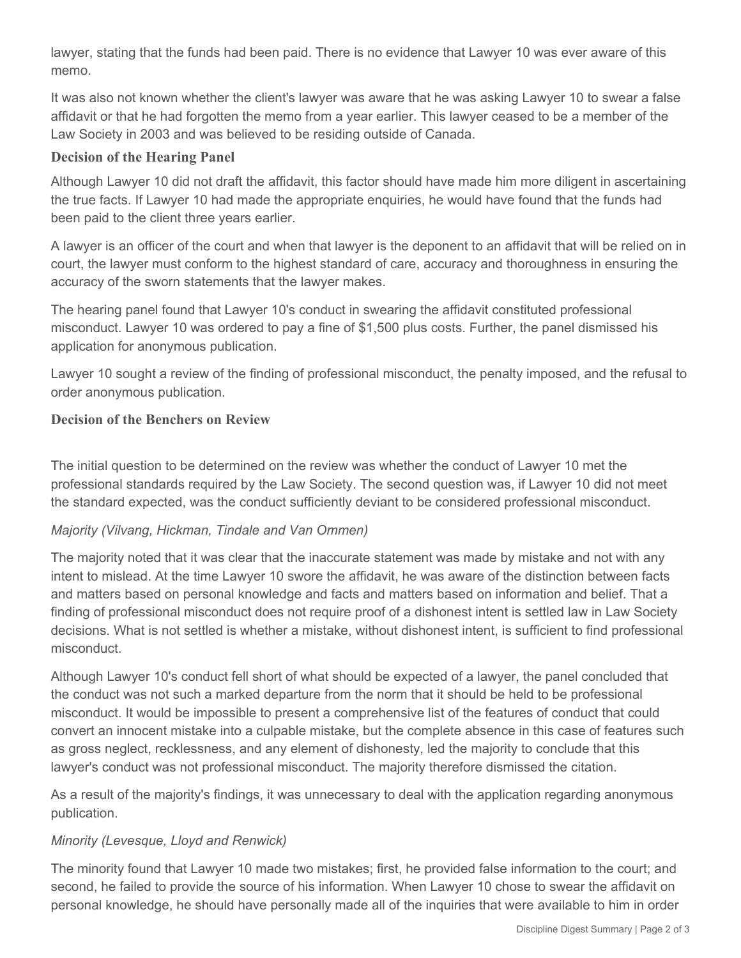lawyer, stating that the funds had been paid. There is no evidence that Lawyer 10 was ever aware of this memo.

It was also not known whether the client's lawyer was aware that he was asking Lawyer 10 to swear a false affidavit or that he had forgotten the memo from a year earlier. This lawyer ceased to be a member of the Law Society in 2003 and was believed to be residing outside of Canada.

## **Decision of the Hearing Panel**

Although Lawyer 10 did not draft the affidavit, this factor should have made him more diligent in ascertaining the true facts. If Lawyer 10 had made the appropriate enquiries, he would have found that the funds had been paid to the client three years earlier.

A lawyer is an officer of the court and when that lawyer is the deponent to an affidavit that will be relied on in court, the lawyer must conform to the highest standard of care, accuracy and thoroughness in ensuring the accuracy of the sworn statements that the lawyer makes.

The hearing panel found that Lawyer 10's conduct in swearing the affidavit constituted professional misconduct. Lawyer 10 was ordered to pay a fine of \$1,500 plus costs. Further, the panel dismissed his application for anonymous publication.

Lawyer 10 sought a review of the finding of professional misconduct, the penalty imposed, and the refusal to order anonymous publication.

# **Decision of the Benchers on Review**

The initial question to be determined on the review was whether the conduct of Lawyer 10 met the professional standards required by the Law Society. The second question was, if Lawyer 10 did not meet the standard expected, was the conduct sufficiently deviant to be considered professional misconduct.

### *Majority (Vilvang, Hickman, Tindale and Van Ommen)*

The majority noted that it was clear that the inaccurate statement was made by mistake and not with any intent to mislead. At the time Lawyer 10 swore the affidavit, he was aware of the distinction between facts and matters based on personal knowledge and facts and matters based on information and belief. That a finding of professional misconduct does not require proof of a dishonest intent is settled law in Law Society decisions. What is not settled is whether a mistake, without dishonest intent, is sufficient to find professional misconduct.

Although Lawyer 10's conduct fell short of what should be expected of a lawyer, the panel concluded that the conduct was not such a marked departure from the norm that it should be held to be professional misconduct. It would be impossible to present a comprehensive list of the features of conduct that could convert an innocent mistake into a culpable mistake, but the complete absence in this case of features such as gross neglect, recklessness, and any element of dishonesty, led the majority to conclude that this lawyer's conduct was not professional misconduct. The majority therefore dismissed the citation.

As a result of the majority's findings, it was unnecessary to deal with the application regarding anonymous publication.

### *Minority (Levesque, Lloyd and Renwick)*

The minority found that Lawyer 10 made two mistakes; first, he provided false information to the court; and second, he failed to provide the source of his information. When Lawyer 10 chose to swear the affidavit on personal knowledge, he should have personally made all of the inquiries that were available to him in order